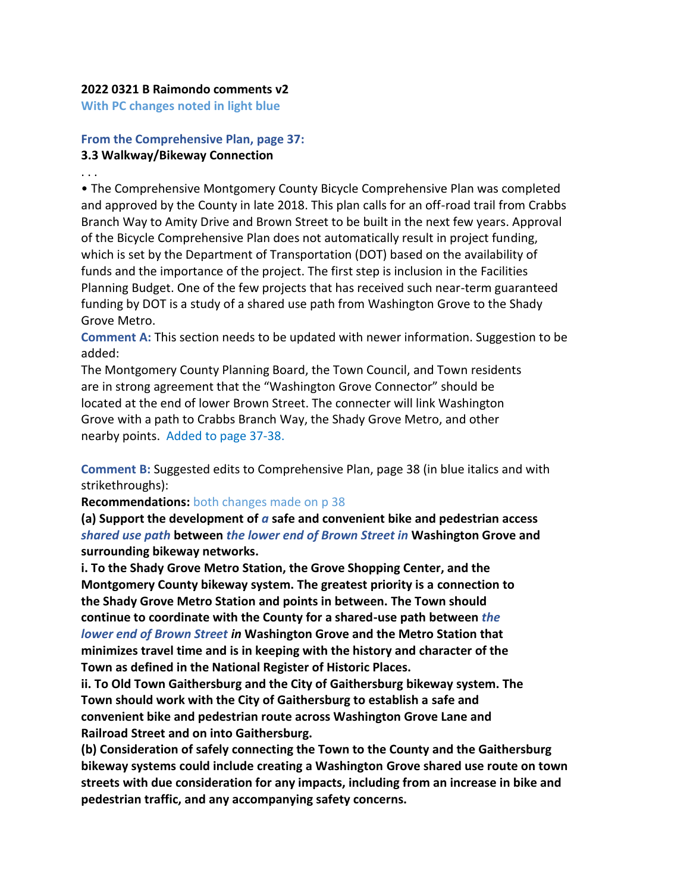## **2022 0321 B Raimondo comments v2**

**With PC changes noted in light blue**

## **From the Comprehensive Plan, page 37: 3.3 Walkway/Bikeway Connection**

. . .

• The Comprehensive Montgomery County Bicycle Comprehensive Plan was completed and approved by the County in late 2018. This plan calls for an off-road trail from Crabbs Branch Way to Amity Drive and Brown Street to be built in the next few years. Approval of the Bicycle Comprehensive Plan does not automatically result in project funding, which is set by the Department of Transportation (DOT) based on the availability of funds and the importance of the project. The first step is inclusion in the Facilities Planning Budget. One of the few projects that has received such near-term guaranteed funding by DOT is a study of a shared use path from Washington Grove to the Shady Grove Metro.

**Comment A:** This section needs to be updated with newer information. Suggestion to be added:

The Montgomery County Planning Board, the Town Council, and Town residents are in strong agreement that the "Washington Grove Connector" should be located at the end of lower Brown Street. The connecter will link Washington Grove with a path to Crabbs Branch Way, the Shady Grove Metro, and other nearby points. Added to page 37-38.

**Comment B:** Suggested edits to Comprehensive Plan, page 38 (in blue italics and with strikethroughs):

**Recommendations:** both changes made on p 38

**(a) Support the development of** *a* **safe and convenient bike and pedestrian access** *shared use path* **between** *the lower end of Brown Street in* **Washington Grove and surrounding bikeway networks.**

**i. To the Shady Grove Metro Station, the Grove Shopping Center, and the Montgomery County bikeway system. The greatest priority is a connection to the Shady Grove Metro Station and points in between. The Town should continue to coordinate with the County for a shared-use path between** *the lower end of Brown Street in* **Washington Grove and the Metro Station that minimizes travel time and is in keeping with the history and character of the Town as defined in the National Register of Historic Places.**

**ii. To Old Town Gaithersburg and the City of Gaithersburg bikeway system. The Town should work with the City of Gaithersburg to establish a safe and convenient bike and pedestrian route across Washington Grove Lane and Railroad Street and on into Gaithersburg.**

**(b) Consideration of safely connecting the Town to the County and the Gaithersburg bikeway systems could include creating a Washington Grove shared use route on town streets with due consideration for any impacts, including from an increase in bike and pedestrian traffic, and any accompanying safety concerns.**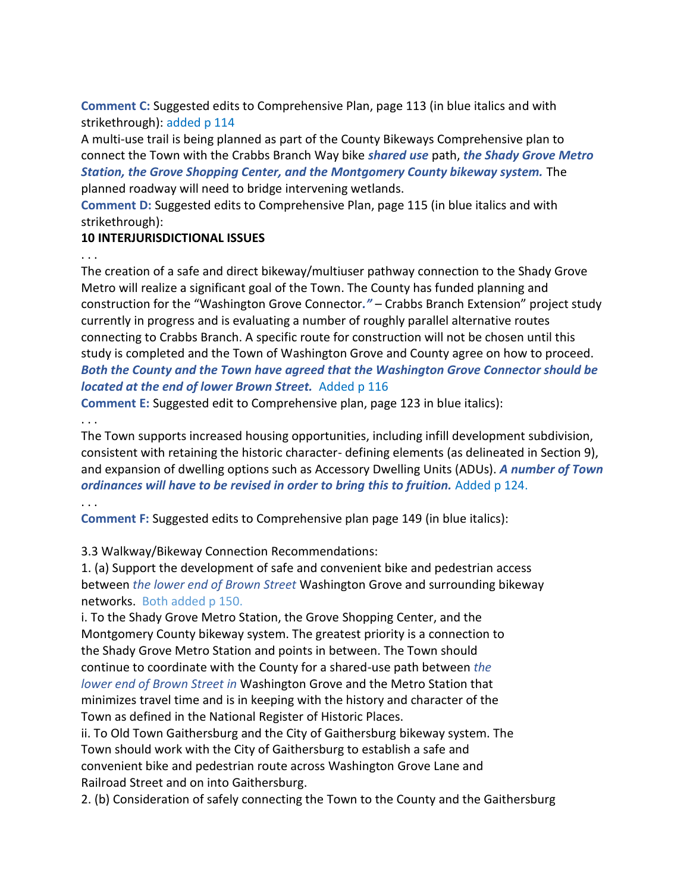**Comment C:** Suggested edits to Comprehensive Plan, page 113 (in blue italics and with strikethrough): added p 114

A multi-use trail is being planned as part of the County Bikeways Comprehensive plan to connect the Town with the Crabbs Branch Way bike *shared use* path, *the Shady Grove Metro Station, the Grove Shopping Center, and the Montgomery County bikeway system.* The planned roadway will need to bridge intervening wetlands.

**Comment D:** Suggested edits to Comprehensive Plan, page 115 (in blue italics and with strikethrough):

## **10 INTERJURISDICTIONAL ISSUES**

. . .

The creation of a safe and direct bikeway/multiuser pathway connection to the Shady Grove Metro will realize a significant goal of the Town. The County has funded planning and construction for the "Washington Grove Connector*."* – Crabbs Branch Extension" project study currently in progress and is evaluating a number of roughly parallel alternative routes connecting to Crabbs Branch. A specific route for construction will not be chosen until this study is completed and the Town of Washington Grove and County agree on how to proceed. *Both the County and the Town have agreed that the Washington Grove Connector should be located at the end of lower Brown Street.* Added p 116

**Comment E:** Suggested edit to Comprehensive plan, page 123 in blue italics):

. . .

The Town supports increased housing opportunities, including infill development subdivision, consistent with retaining the historic character- defining elements (as delineated in Section 9), and expansion of dwelling options such as Accessory Dwelling Units (ADUs). *A number of Town ordinances will have to be revised in order to bring this to fruition.* Added p 124.

. . .

**Comment F:** Suggested edits to Comprehensive plan page 149 (in blue italics):

3.3 Walkway/Bikeway Connection Recommendations:

1. (a) Support the development of safe and convenient bike and pedestrian access between *the lower end of Brown Street* Washington Grove and surrounding bikeway networks. Both added p 150.

i. To the Shady Grove Metro Station, the Grove Shopping Center, and the Montgomery County bikeway system. The greatest priority is a connection to the Shady Grove Metro Station and points in between. The Town should continue to coordinate with the County for a shared-use path between *the lower end of Brown Street in* Washington Grove and the Metro Station that minimizes travel time and is in keeping with the history and character of the Town as defined in the National Register of Historic Places.

ii. To Old Town Gaithersburg and the City of Gaithersburg bikeway system. The Town should work with the City of Gaithersburg to establish a safe and convenient bike and pedestrian route across Washington Grove Lane and Railroad Street and on into Gaithersburg.

2. (b) Consideration of safely connecting the Town to the County and the Gaithersburg